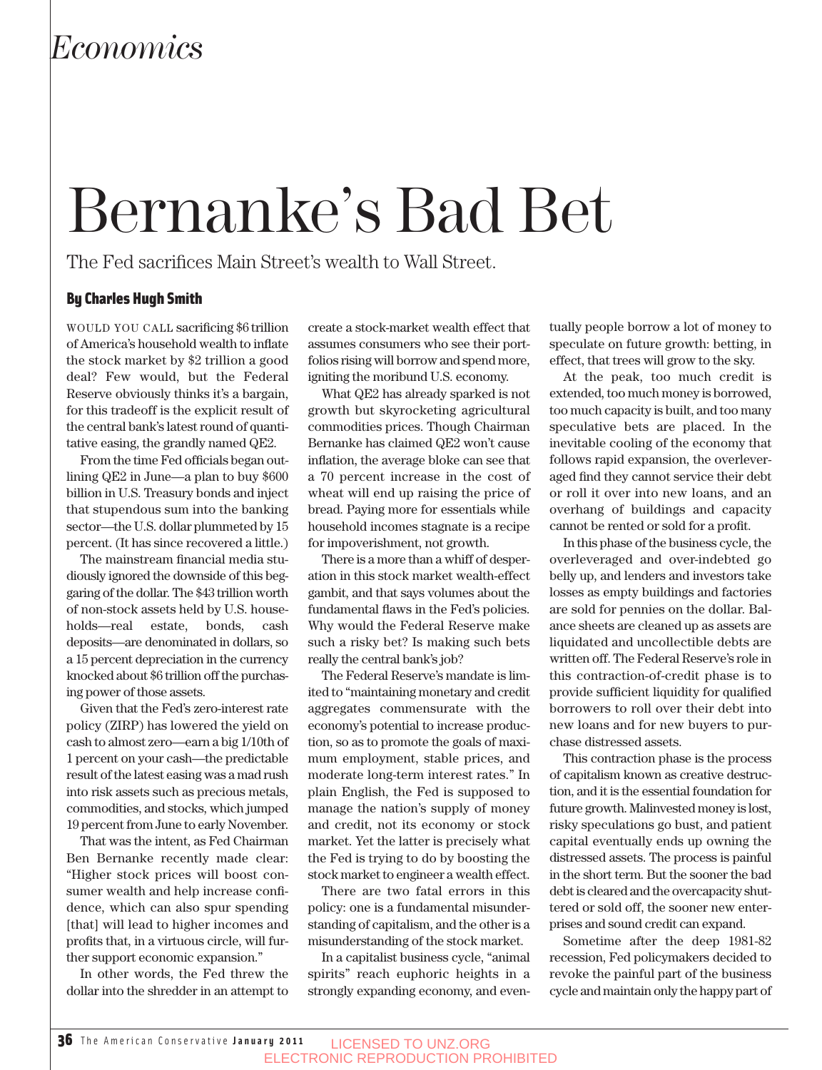# Bernanke's Bad Bet

The Fed sacrifices Main Street's wealth to Wall Street.

### By Charles Hugh Smith

WOULD YOU CALL sacrificing \$6 trillion of America's household wealth to inflate the stock market by \$2 trillion a good deal? Few would, but the Federal Reserve obviously thinks it's a bargain, for this tradeoff is the explicit result of the central bank's latest round of quantitative easing, the grandly named QE2.

From the time Fed officials began outlining QE2 in June—a plan to buy \$600 billion in U.S. Treasury bonds and inject that stupendous sum into the banking sector—the U.S. dollar plummeted by 15 percent. (It has since recovered a little.)

The mainstream financial media studiously ignored the downside of this beggaring of the dollar. The \$43 trillion worth of non-stock assets held by U.S. households—real estate, bonds, cash deposits—are denominated in dollars, so a 15 percent depreciation in the currency knocked about \$6 trillion off the purchasing power of those assets.

Given that the Fed's zero-interest rate policy (ZIRP) has lowered the yield on cash to almost zero—earn a big 1/10th of 1 percent on your cash—the predictable result of the latest easing was a mad rush into risk assets such as precious metals, commodities, and stocks, which jumped 19 percent from June to early November.

That was the intent, as Fed Chairman Ben Bernanke recently made clear: "Higher stock prices will boost consumer wealth and help increase confidence, which can also spur spending [that] will lead to higher incomes and profits that, in a virtuous circle, will further support economic expansion."

In other words, the Fed threw the dollar into the shredder in an attempt to create a stock-market wealth effect that assumes consumers who see their portfolios rising will borrow and spend more, igniting the moribund U.S. economy.

What QE2 has already sparked is not growth but skyrocketing agricultural commodities prices. Though Chairman Bernanke has claimed QE2 won't cause inflation, the average bloke can see that a 70 percent increase in the cost of wheat will end up raising the price of bread. Paying more for essentials while household incomes stagnate is a recipe for impoverishment, not growth.

There is a more than a whiff of desperation in this stock market wealth-effect gambit, and that says volumes about the fundamental flaws in the Fed's policies. Why would the Federal Reserve make such a risky bet? Is making such bets really the central bank's job?

The Federal Reserve's mandate is limited to "maintaining monetary and credit aggregates commensurate with the economy's potential to increase production, so as to promote the goals of maximum employment, stable prices, and moderate long-term interest rates." In plain English, the Fed is supposed to manage the nation's supply of money and credit, not its economy or stock market. Yet the latter is precisely what the Fed is trying to do by boosting the stock market to engineer a wealth effect.

There are two fatal errors in this policy: one is a fundamental misunderstanding of capitalism, and the other is a misunderstanding of the stock market.

In a capitalist business cycle, "animal spirits" reach euphoric heights in a strongly expanding economy, and eventually people borrow a lot of money to speculate on future growth: betting, in effect, that trees will grow to the sky.

At the peak, too much credit is extended, too much money is borrowed, too much capacity is built, and too many speculative bets are placed. In the inevitable cooling of the economy that follows rapid expansion, the overleveraged find they cannot service their debt or roll it over into new loans, and an overhang of buildings and capacity cannot be rented or sold for a profit.

In this phase of the business cycle, the overleveraged and over-indebted go belly up, and lenders and investors take losses as empty buildings and factories are sold for pennies on the dollar. Balance sheets are cleaned up as assets are liquidated and uncollectible debts are written off. The Federal Reserve's role in this contraction-of-credit phase is to provide sufficient liquidity for qualified borrowers to roll over their debt into new loans and for new buyers to purchase distressed assets.

This contraction phase is the process of capitalism known as creative destruction, and it is the essential foundation for future growth. Malinvested money is lost, risky speculations go bust, and patient capital eventually ends up owning the distressed assets. The process is painful in the short term. But the sooner the bad debt is cleared and the overcapacity shuttered or sold off, the sooner new enterprises and sound credit can expand.

Sometime after the deep 1981-82 recession, Fed policymakers decided to revoke the painful part of the business cycle and maintain only the happy part of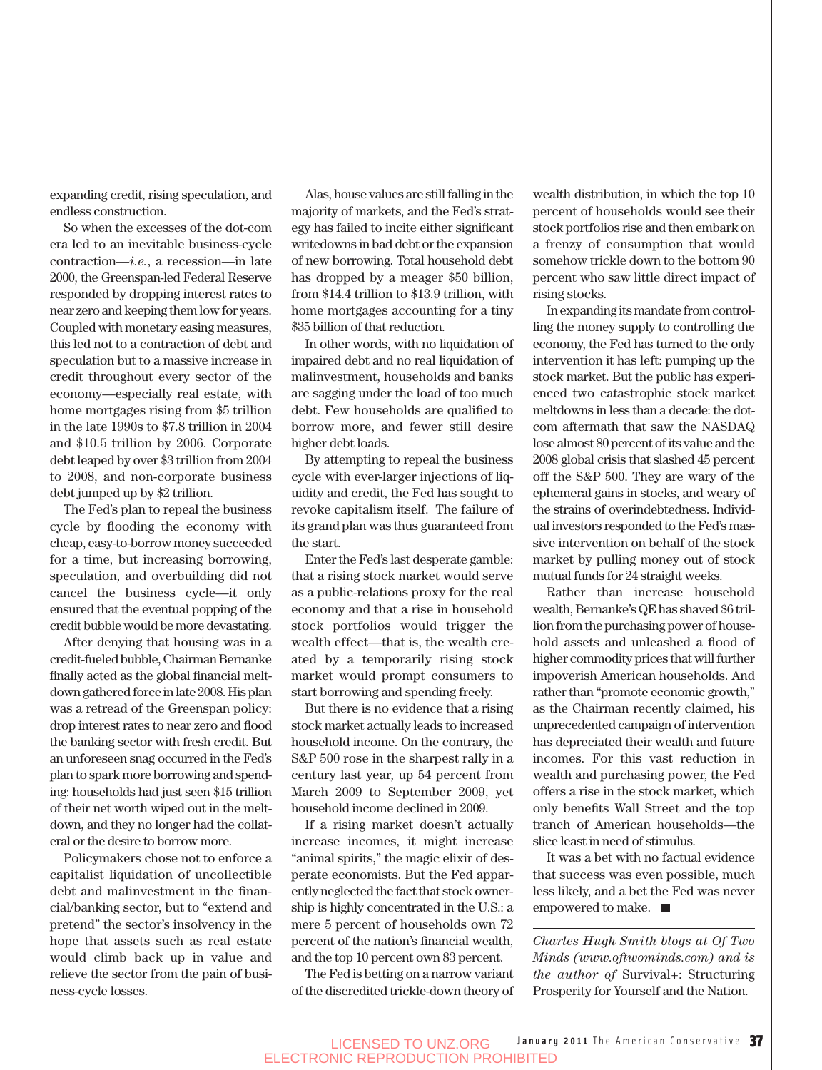expanding credit, rising speculation, and endless construction.

So when the excesses of the dot-com era led to an inevitable business-cycle contraction—*i.e.*, a recession—in late 2000, the Greenspan-led Federal Reserve responded by dropping interest rates to near zero and keeping them low for years. Coupled with monetary easing measures, this led not to a contraction of debt and speculation but to a massive increase in credit throughout every sector of the economy—especially real estate, with home mortgages rising from \$5 trillion in the late 1990s to \$7.8 trillion in 2004 and \$10.5 trillion by 2006. Corporate debt leaped by over \$3 trillion from 2004 to 2008, and non-corporate business debt jumped up by \$2 trillion.

The Fed's plan to repeal the business cycle by flooding the economy with cheap, easy-to-borrow money succeeded for a time, but increasing borrowing, speculation, and overbuilding did not cancel the business cycle—it only ensured that the eventual popping of the credit bubble would be more devastating.

After denying that housing was in a credit-fueled bubble, Chairman Bernanke finally acted as the global financial meltdown gathered force in late 2008. His plan was a retread of the Greenspan policy: drop interest rates to near zero and flood the banking sector with fresh credit. But an unforeseen snag occurred in the Fed's plan to spark more borrowing and spending: households had just seen \$15 trillion of their net worth wiped out in the meltdown, and they no longer had the collateral or the desire to borrow more.

Policymakers chose not to enforce a capitalist liquidation of uncollectible debt and malinvestment in the financial/banking sector, but to "extend and pretend" the sector's insolvency in the hope that assets such as real estate would climb back up in value and relieve the sector from the pain of business-cycle losses.

Alas, house values are still falling in the majority of markets, and the Fed's strategy has failed to incite either significant writedowns in bad debt or the expansion of new borrowing. Total household debt has dropped by a meager \$50 billion, from \$14.4 trillion to \$13.9 trillion, with home mortgages accounting for a tiny \$35 billion of that reduction.

In other words, with no liquidation of impaired debt and no real liquidation of malinvestment, households and banks are sagging under the load of too much debt. Few households are qualified to borrow more, and fewer still desire higher debt loads.

By attempting to repeal the business cycle with ever-larger injections of liquidity and credit, the Fed has sought to revoke capitalism itself. The failure of its grand plan was thus guaranteed from the start.

Enter the Fed's last desperate gamble: that a rising stock market would serve as a public-relations proxy for the real economy and that a rise in household stock portfolios would trigger the wealth effect—that is, the wealth created by a temporarily rising stock market would prompt consumers to start borrowing and spending freely.

But there is no evidence that a rising stock market actually leads to increased household income. On the contrary, the S&P 500 rose in the sharpest rally in a century last year, up 54 percent from March 2009 to September 2009, yet household income declined in 2009.

If a rising market doesn't actually increase incomes, it might increase "animal spirits," the magic elixir of desperate economists. But the Fed apparently neglected the fact that stock ownership is highly concentrated in the U.S.: a mere 5 percent of households own 72 percent of the nation's financial wealth, and the top 10 percent own 83 percent.

The Fed is betting on a narrow variant of the discredited trickle-down theory of wealth distribution, in which the top 10 percent of households would see their stock portfolios rise and then embark on a frenzy of consumption that would somehow trickle down to the bottom 90 percent who saw little direct impact of rising stocks.

In expanding its mandate from controlling the money supply to controlling the economy, the Fed has turned to the only intervention it has left: pumping up the stock market. But the public has experienced two catastrophic stock market meltdowns in less than a decade: the dotcom aftermath that saw the NASDAQ lose almost 80 percent of its value and the 2008 global crisis that slashed 45 percent off the S&P 500. They are wary of the ephemeral gains in stocks, and weary of the strains of overindebtedness. Individual investors responded to the Fed's massive intervention on behalf of the stock market by pulling money out of stock mutual funds for 24 straight weeks.

Rather than increase household wealth, Bernanke's QE has shaved \$6 trillion from the purchasing power of household assets and unleashed a flood of higher commodity prices that will further impoverish American households. And rather than "promote economic growth," as the Chairman recently claimed, his unprecedented campaign of intervention has depreciated their wealth and future incomes. For this vast reduction in wealth and purchasing power, the Fed offers a rise in the stock market, which only benefits Wall Street and the top tranch of American households—the slice least in need of stimulus.

It was a bet with no factual evidence that success was even possible, much less likely, and a bet the Fed was never empowered to make.

*Charles Hugh Smith blogs at Of Two Minds (www.oftwominds.com) and is the author of* Survival+: Structuring Prosperity for Yourself and the Nation.